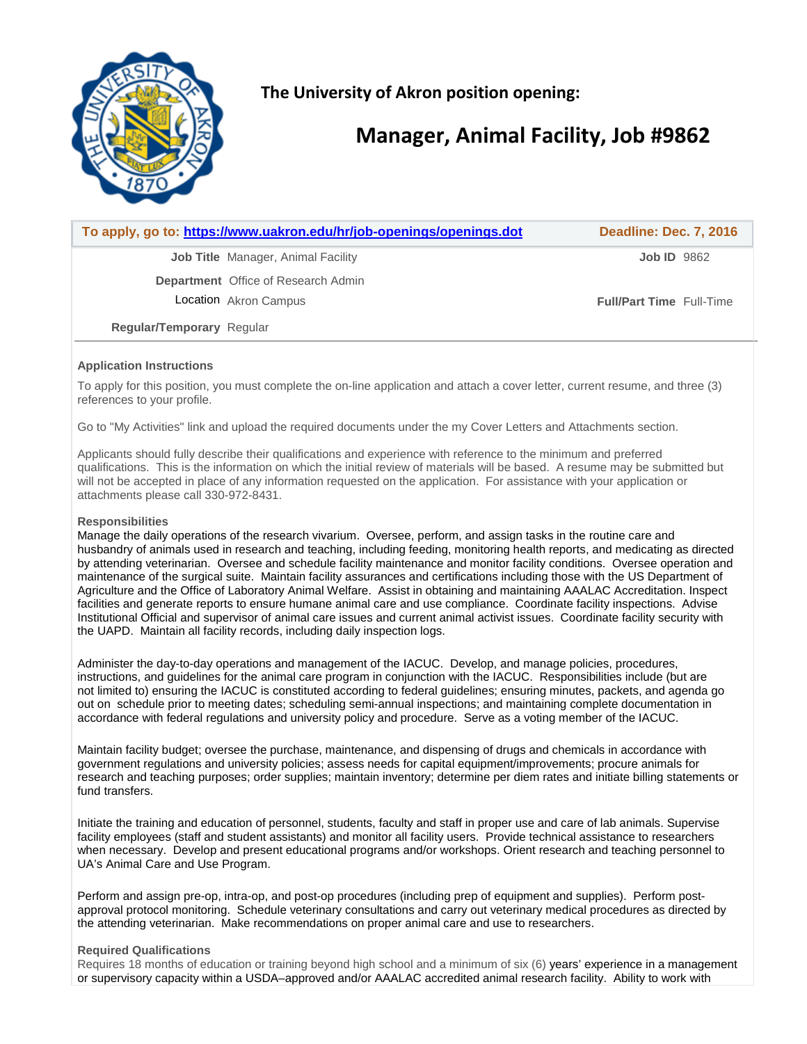

**The University of Akron position opening:** 

# **Manager, Animal Facility, Job #9862**

|                                  | To apply, go to: https://www.uakron.edu/hr/job-openings/openings.dot | <b>Deadline: Dec. 7, 2016</b>   |
|----------------------------------|----------------------------------------------------------------------|---------------------------------|
|                                  | <b>Job Title</b> Manager, Animal Facility                            | Job ID 9862                     |
|                                  | <b>Department</b> Office of Research Admin                           |                                 |
|                                  | Location Akron Campus                                                | <b>Full/Part Time</b> Full-Time |
| <b>Regular/Temporary Regular</b> |                                                                      |                                 |
|                                  |                                                                      |                                 |

# **Application Instructions**

To apply for this position, you must complete the on-line application and attach a cover letter, current resume, and three (3) references to your profile.

Go to "My Activities" link and upload the required documents under the my Cover Letters and Attachments section.

Applicants should fully describe their qualifications and experience with reference to the minimum and preferred qualifications. This is the information on which the initial review of materials will be based. A resume may be submitted but will not be accepted in place of any information requested on the application. For assistance with your application or attachments please call 330-972-8431.

# **Responsibilities**

Manage the daily operations of the research vivarium. Oversee, perform, and assign tasks in the routine care and husbandry of animals used in research and teaching, including feeding, monitoring health reports, and medicating as directed by attending veterinarian. Oversee and schedule facility maintenance and monitor facility conditions. Oversee operation and maintenance of the surgical suite. Maintain facility assurances and certifications including those with the US Department of Agriculture and the Office of Laboratory Animal Welfare. Assist in obtaining and maintaining AAALAC Accreditation. Inspect facilities and generate reports to ensure humane animal care and use compliance. Coordinate facility inspections. Advise Institutional Official and supervisor of animal care issues and current animal activist issues. Coordinate facility security with the UAPD. Maintain all facility records, including daily inspection logs.

Administer the day-to-day operations and management of the IACUC. Develop, and manage policies, procedures, instructions, and guidelines for the animal care program in conjunction with the IACUC. Responsibilities include (but are not limited to) ensuring the IACUC is constituted according to federal guidelines; ensuring minutes, packets, and agenda go out on schedule prior to meeting dates; scheduling semi-annual inspections; and maintaining complete documentation in accordance with federal regulations and university policy and procedure. Serve as a voting member of the IACUC.

Maintain facility budget; oversee the purchase, maintenance, and dispensing of drugs and chemicals in accordance with government regulations and university policies; assess needs for capital equipment/improvements; procure animals for research and teaching purposes; order supplies; maintain inventory; determine per diem rates and initiate billing statements or fund transfers.

Initiate the training and education of personnel, students, faculty and staff in proper use and care of lab animals. Supervise facility employees (staff and student assistants) and monitor all facility users. Provide technical assistance to researchers when necessary. Develop and present educational programs and/or workshops. Orient research and teaching personnel to UA's Animal Care and Use Program.

Perform and assign pre-op, intra-op, and post-op procedures (including prep of equipment and supplies). Perform postapproval protocol monitoring. Schedule veterinary consultations and carry out veterinary medical procedures as directed by the attending veterinarian. Make recommendations on proper animal care and use to researchers.

#### **Required Qualifications**

Requires 18 months of education or training beyond high school and a minimum of six (6) years' experience in a management or supervisory capacity within a USDA–approved and/or AAALAC accredited animal research facility. Ability to work with